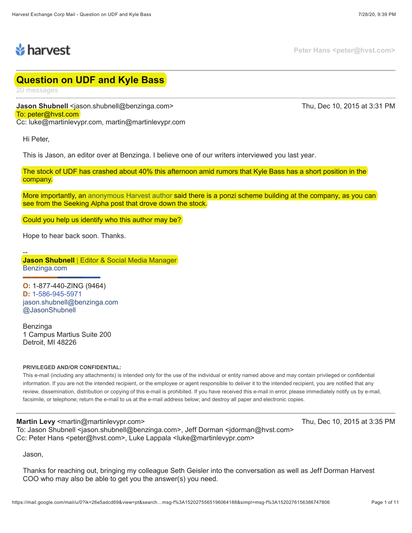COO who may also be able to get you the answer(s) you need.

# **Question on UDF and Kyle Bass**

20 messages

**x** harvest

**Jason Shubnell <**jason.shubnell@benzinga.com> Thu, Dec 10, 2015 at 3:31 PM To: peter@hvst.com

Cc: luke@martinlevypr.com, martin@martinlevypr.com

Hi Peter,

This is Jason, an editor over at Benzinga. I believe one of our writers interviewed you last year.

The stock of UDF has crashed about 40% this afternoon amid rumors that Kyle Bass has a short position in the company.

More importantly, an anonymous Harvest author said there is a ponzi scheme building at the company, as you can see from the Seeking Alpha post that drove down the stock. importantly, an anonymous Harvest author said there is a ponzi scheme building at the company, as<br>om the Seeking Alpha post that drove down the stock.<br>you help us identify who this author may be?<br>to hear back soon. Thanks.

Could you help us identify who this author may be?

Hope to hear back soon. Thanks.

-- **Jason Shubnell** | Editor & Social Media Manager Benzinga.com

▬▬▬▬▬▬▬▬▬ **O:** 1-877-440-ZING (9464) **D:** 1-586-945-5971 jason.shubnell@benzinga.com @JasonShubnell

Benzinga 1 Campus Martius Suite 200 Detroit, MI 48226

### **PRIVILEGED AND/OR CONFIDENTIAL:**

Jason,

This e-mail (including any attachments) is intended only for the use of the individual or entity named above and may contain privileged or confidential information. If you are not the intended recipient, or the employee or agent responsible to deliver it to the intended recipient, you are notified that any review, dissemination, distribution or copying of this e-mail is prohibited. If you have received this e-mail in error, please immediately notify us by e-mail, facsimile, or telephone; return the e-mail to us at the e-mail address below; and destroy all paper and electronic copies.

Thanks for reaching out, bringing my colleague Seth Geisler into the conversation as well as Jeff Dorman Harvest

**Martin Levy** <martin@martinlevypr.com> Thu, Dec 10, 2015 at 3:35 PM To: Jason Shubnell <jason.shubnell@benzinga.com>, Jeff Dorman <jdorman@hvst.com> Cc: Peter Hans <peter@hvst.com>, Luke Lappala <luke@martinlevypr.com>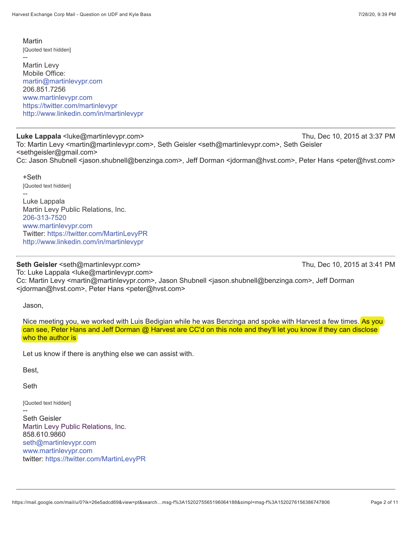Martin [Quoted text hidden] -- Martin Levy Mobile Office: martin@martinlevypr.com 206.851.7256 www.martinlevypr.com https://twitter.com/martinlevypr http://www.linkedin.com/in/martinlevypr

**Luke Lappala </a>** </a>  $\leq$ uke@martinlevypr.com> Thu, Dec 10, 2015 at 3:37 PM To: Martin Levy <martin@martinlevypr.com>, Seth Geisler <seth@martinlevypr.com>, Seth Geisler <sethgeisler@gmail.com> Cc: Jason Shubnell <jason.shubnell@benzinga.com>, Jeff Dorman <jdorman@hvst.com>, Peter Hans <peter@hvst.com>

+Seth [Quoted text hidden] -- Luke Lappala Martin Levy Public Relations, Inc. 206-313-7520 www.martinlevypr.com Twitter: https://twitter.com/MartinLevyPR http://www.linkedin.com/in/martinlevypr

**Seth Geisler** <seth@martinlevypr.com> Thu, Dec 10, 2015 at 3:41 PM To: Luke Lappala <luke@martinlevypr.com> Cc: Martin Levy <martin@martinlevypr.com>, Jason Shubnell <jason.shubnell@benzinga.com>, Jeff Dorman <jdorman@hvst.com>, Peter Hans <peter@hvst.com>

Jason,

Nice meeting you, we worked with Luis Bedigian while he was Benzinga and spoke with Harvest a few times. As you can see, Peter Hans and Jeff Dorman @ Harvest are CC'd on this note and they'll let you know if they can disclose who the author is meeting you, we worked with Luis Bedigian while he was Benzinga and spoke with Harvest a few times. <mark>As you</mark><br>see, Peter Hans and Jeff Dorman @ Harvest are CC'd on this note and they'll let you know if they can disclose<br>the

Let us know if there is anything else we can assist with.

Best,

Seth

[Quoted text hidden]

-- Seth Geisler Martin Levy Public Relations, Inc. 858.610.9860 seth@martinlevypr.com www.martinlevypr.com twitter: https://twitter.com/MartinLevyPR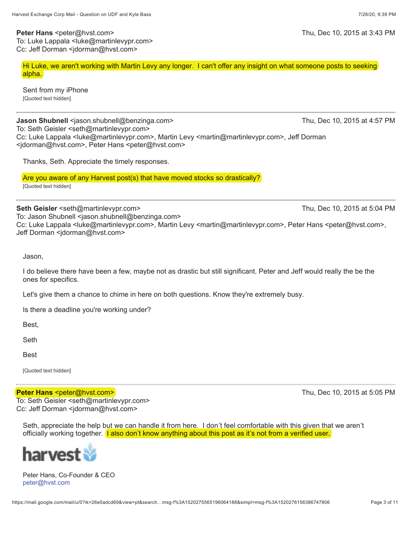**Peter Hans** <peter@hvst.com> Thu, Dec 10, 2015 at 3:43 PM To: Luke Lappala <luke@martinlevypr.com> Cc: Jeff Dorman <jdorman@hvst.com>

Hi Luke, we aren't working with Martin Levy any longer. I can't offer any insight on what someone posts to seeking alpha.

Sent from my iPhone [Quoted text hidden]

**Jason Shubnell** <jason.shubnell@benzinga.com> Thu, Dec 10, 2015 at 4:57 PM To: Seth Geisler <seth@martinlevypr.com> Cc: Luke Lappala <luke@martinlevypr.com>, Martin Levy <martin@martinlevypr.com>, Jeff Dorman <jdorman@hvst.com>, Peter Hans <peter@hvst.com>

Thanks, Seth. Appreciate the timely responses.

Are you aware of any Harvest post(s) that have moved stocks so drastically? [Quoted text hidden]

**Seth Geisler** <seth@martinlevypr.com> Thu, Dec 10, 2015 at 5:04 PM To: Jason Shubnell <jason.shubnell@benzinga.com> Cc: Luke Lappala <luke@martinlevypr.com>, Martin Levy <martin@martinlevypr.com>, Peter Hans <peter@hvst.com>, Jeff Dorman <jdorman@hvst.com> **vare of any Harvest post(s) that have moved stocks so drastically?**<br>
Interactions<br>
and the distant shubnell (@benzinga.com><br>
Interactions an unhell (@benzinga.com><br>
ppala <ulke@martinlevypr.com>, Martin Levy <martin@marti

Jason,

I do believe there have been a few, maybe not as drastic but still significant. Peter and Jeff would really the be the ones for specifics.

Let's give them a chance to chime in here on both questions. Know they're extremely busy.

Is there a deadline you're working under?

Best,

Seth

Best

[Quoted text hidden]

### **Peter Hans** <peter@hvst.com> Thu, Dec 10, 2015 at 5:05 PM

To: Seth Geisler <seth@martinlevypr.com> Cc: Jeff Dorman <jdorman@hvst.com>

Seth, appreciate the help but we can handle it from here. I don't feel comfortable with this given that we aren't officially working together. I also don't know anything about this post as it's not from a verified user.



Peter Hans, Co-Founder & CEO peter@hvst.com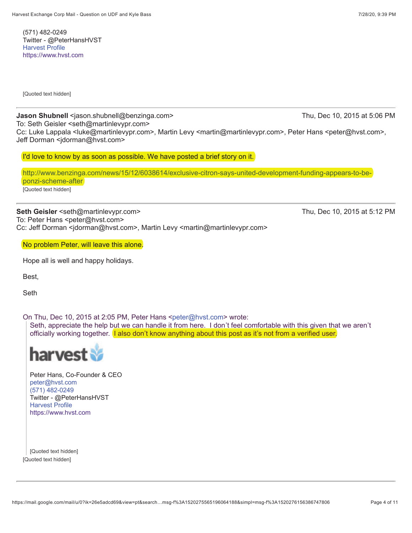[Quoted text hidden]

**Jason Shubnell** <jason.shubnell@benzinga.com> Thu, Dec 10, 2015 at 5:06 PM

To: Seth Geisler <seth@martinlevypr.com>

Cc: Luke Lappala <luke@martinlevypr.com>, Martin Levy <martin@martinlevypr.com>, Peter Hans <peter@hvst.com>, Jeff Dorman <idorman@hvst.com>

I'd love to know by as soon as possible. We have posted a brief story on it.

http://www.benzinga.com/news/15/12/6038614/exclusive-citron-says-united-development-funding-appears-to-beponzi-scheme-after as it is verified the measure of the state of the state of the state of the point of the state of the followed text hidden (Quoted text hidden)<br>
and Conded text hidden (Quoted text hidden)<br>
and Conded text hidden is verifi

[Quoted text hidden]

**Seth Geisler** <seth@martinlevypr.com> Thu, Dec 10, 2015 at 5:12 PM To: Peter Hans <peter@hvst.com> Cc: Jeff Dorman <jdorman@hvst.com>, Martin Levy <martin@martinlevypr.com>

No problem Peter, will leave this alone.

Hope all is well and happy holidays.

Best,

Seth

On Thu, Dec 10, 2015 at 2:05 PM, Peter Hans <peter@hvst.com> wrote:

Seth, appreciate the help but we can handle it from here. I don't feel comfortable with this given that we aren't officially working together. I also don't know anything about this post as it's not from a verified user.



Peter Hans, Co-Founder & CEO peter@hvst.com (571) 482-0249 Twitter - @PeterHansHVST Harvest Profile https://www.hvst.com

[Quoted text hidden] [Quoted text hidden]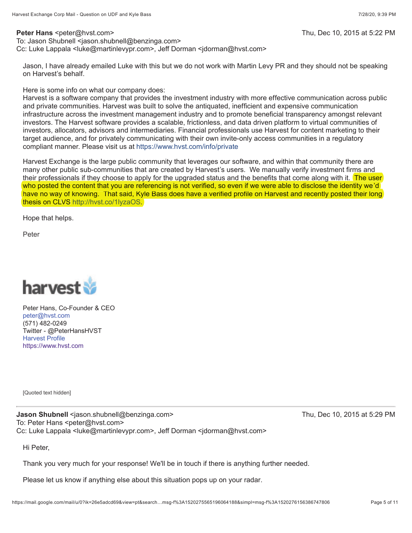**Peter Hans** <peter@hvst.com> Thu, Dec 10, 2015 at 5:22 PM

To: Jason Shubnell <jason.shubnell@benzinga.com> Cc: Luke Lappala <luke@martinlevypr.com>, Jeff Dorman <idorman@hvst.com>

Jason, I have already emailed Luke with this but we do not work with Martin Levy PR and they should not be speaking on Harvest's behalf.

Here is some info on what our company does:

Harvest is a software company that provides the investment industry with more effective communication across public and private communities. Harvest was built to solve the antiquated, inefficient and expensive communication infrastructure across the investment management industry and to promote beneficial transparency amongst relevant investors. The Harvest software provides a scalable, frictionless, and data driven platform to virtual communities of investors, allocators, advisors and intermediaries. Financial professionals use Harvest for content marketing to their target audience, and for privately communicating with their own invite-only access communities in a regulatory compliant manner. Please visit us at https://www.hvst.com/info/private

Harvest Exchange is the large public community that leverages our software, and within that community there are many other public sub-communities that are created by Harvest's users. We manually verify investment firms and their professionals if they choose to apply for the upgraded status and the benefits that come along with it. The user who posted the content that you are referencing is not verified, so even if we were able to disclose the identity we'd have no way of knowing. That said, Kyle Bass does have a verified profile on Harvest and recently posted their long thesis on CLVS http://hvst.co/1lyzaOS.

Hope that helps.

Peter



Peter Hans, Co-Founder & CEO peter@hvst.com (571) 482-0249 Twitter - @PeterHansHVST Harvest Profile https://www.hvst.com

[Quoted text hidden]

**Jason Shubnell** <jason.shubnell@benzinga.com> Thu, Dec 10, 2015 at 5:29 PM To: Peter Hans <peter@hvst.com> Cc: Luke Lappala <luke@martinlevypr.com>, Jeff Dorman <jdorman@hvst.com>

Hi Peter,

Thank you very much for your response! We'll be in touch if there is anything further needed.

Please let us know if anything else about this situation pops up on your radar.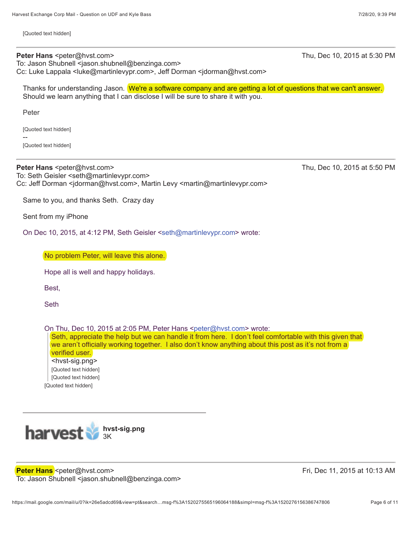[Quoted text hidden]

To: Jason Shubnell <jason.shubnell@benzinga.com> Cc: Luke Lappala <luke@martinlevypr.com>, Jeff Dorman <idorman@hvst.com>

Thanks for understanding Jason. <mark>We're a software company and are getting a lot of questions that we can't answer.</mark> Should we learn anything that I can disclose I will be sure to share it with you.

Peter

[Quoted text hidden]

--

[Quoted text hidden]

**Peter Hans** <peter@hvst.com> Thu, Dec 10, 2015 at 5:50 PM To: Seth Geisler <seth@martinlevypr.com> Cc: Jeff Dorman <jdorman@hvst.com>, Martin Levy <martin@martinlevypr.com>

Same to you, and thanks Seth. Crazy day

Sent from my iPhone

On Dec 10, 2015, at 4:12 PM, Seth Geisler <seth@martinlevypr.com> wrote:

No problem Peter, will leave this alone.

Hope all is well and happy holidays.

Best,

Seth

harvest

On Thu, Dec 10, 2015 at 2:05 PM, Peter Hans <peter@hvst.com> wrote:

Seth, appreciate the help but we can handle it from here. I don't feel comfortable with this given that we aren't officially working together. I also don't know anything about this post as it's not from a<br>verified user. verified user.

<hvst-sig.png> [Quoted text hidden] [Quoted text hidden] [Quoted text hidden]

3K

**Peter Hans** <peter@hvst.com> Fri, Dec 11, 2015 at 10:13 AM To: Jason Shubnell <jason.shubnell@benzinga.com>

**hvst-sig.png**

**Peter Hans** <peter@hvst.com> Thu, Dec 10, 2015 at 5:30 PM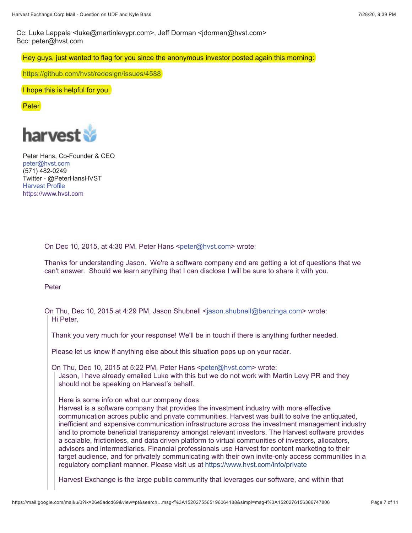Cc: Luke Lappala <luke@martinlevypr.com>, Jeff Dorman <idorman@hvst.com> Bcc: peter@hvst.com

Hey guys, just wanted to flag for you since the anonymous investor posted again this morning:

https://github.com/hvst/redesign/issues/4588

I hope this is helpful for you.

**Peter** 



Peter Hans, Co-Founder & CEO peter@hvst.com (571) 482-0249 Twitter - @PeterHansHVST Harvest Profile https://www.hvst.com

On Dec 10, 2015, at 4:30 PM, Peter Hans <peter@hvst.com> wrote:

Thanks for understanding Jason. We're a software company and are getting a lot of questions that we can't answer. Should we learn anything that I can disclose I will be sure to share it with you.

Peter

On Thu, Dec 10, 2015 at 4:29 PM, Jason Shubnell <jason.shubnell@benzinga.com> wrote: Hi Peter,

Thank you very much for your response! We'll be in touch if there is anything further needed.

Please let us know if anything else about this situation pops up on your radar.

On Thu, Dec 10, 2015 at 5:22 PM. Peter Hans <peter@hyst.com> wrote: Jason, I have already emailed Luke with this but we do not work with Martin Levy PR and they should not be speaking on Harvest's behalf.

Here is some info on what our company does:

Harvest is a software company that provides the investment industry with more effective communication across public and private communities. Harvest was built to solve the antiquated, inefficient and expensive communication infrastructure across the investment management industry and to promote beneficial transparency amongst relevant investors. The Harvest software provides a scalable, frictionless, and data driven platform to virtual communities of investors, allocators, advisors and intermediaries. Financial professionals use Harvest for content marketing to their target audience, and for privately communicating with their own invite-only access communities in a regulatory compliant manner. Please visit us at https://www.hvst.com/info/private

Harvest Exchange is the large public community that leverages our software, and within that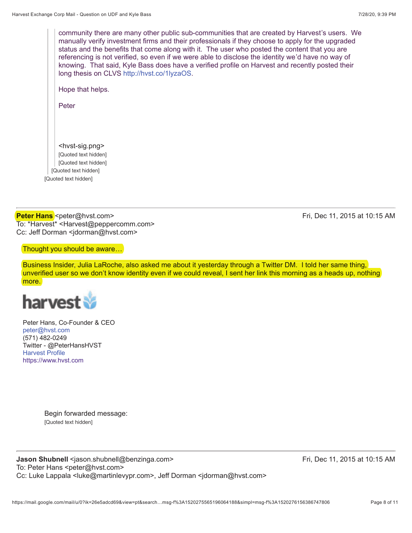| community there are many other public sub-communities that are created by Harvest's users. We<br>manually verify investment firms and their professionals if they choose to apply for the upgraded<br>status and the benefits that come along with it. The user who posted the content that you are<br>referencing is not verified, so even if we were able to disclose the identity we'd have no way of<br>knowing. That said, Kyle Bass does have a verified profile on Harvest and recently posted their<br>long thesis on CLVS http://hvst.co/1lyzaOS. |
|------------------------------------------------------------------------------------------------------------------------------------------------------------------------------------------------------------------------------------------------------------------------------------------------------------------------------------------------------------------------------------------------------------------------------------------------------------------------------------------------------------------------------------------------------------|
| Hope that helps.                                                                                                                                                                                                                                                                                                                                                                                                                                                                                                                                           |
| Peter                                                                                                                                                                                                                                                                                                                                                                                                                                                                                                                                                      |
|                                                                                                                                                                                                                                                                                                                                                                                                                                                                                                                                                            |
|                                                                                                                                                                                                                                                                                                                                                                                                                                                                                                                                                            |
| <hvst-sig.png></hvst-sig.png>                                                                                                                                                                                                                                                                                                                                                                                                                                                                                                                              |
| [Quoted text hidden]                                                                                                                                                                                                                                                                                                                                                                                                                                                                                                                                       |
| [Quoted text hidden]                                                                                                                                                                                                                                                                                                                                                                                                                                                                                                                                       |
| [Quoted text hidden]                                                                                                                                                                                                                                                                                                                                                                                                                                                                                                                                       |
| [Quoted text hidden]                                                                                                                                                                                                                                                                                                                                                                                                                                                                                                                                       |

**Peter Hans** <peter@hvst.com> Fri, Dec 11, 2015 at 10:15 AM To: \*Harvest\* <Harvest@peppercomm.com> Cc: Jeff Dorman <jdorman@hvst.com>

### Thought you should be aware…

Business Insider, Julia LaRoche, also asked me about it yesterday through a Twitter DM. I told her same thing, Business Insider, Julia LaRoche, also asked me about it yesterday through a Twitter DM. I told her same thing,<br>unverified user so we don't know identity even if we could reveal, I sent her link this morning as a heads up, more.



Peter Hans, Co-Founder & CEO peter@hvst.com (571) 482-0249 Twitter - @PeterHansHVST Harvest Profile https://www.hvst.com

> Begin forwarded message: [Quoted text hidden]

**Jason Shubnell** <jason.shubnell@benzinga.com> Fri, Dec 11, 2015 at 10:15 AM To: Peter Hans <peter@hvst.com> Cc: Luke Lappala <luke@martinlevypr.com>, Jeff Dorman <jdorman@hvst.com>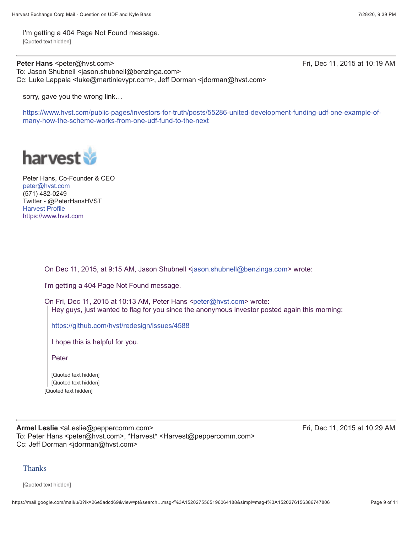I'm getting a 404 Page Not Found message. [Quoted text hidden]

**Peter Hans** <peter@hvst.com> Fri, Dec 11, 2015 at 10:19 AM To: Jason Shubnell <jason.shubnell@benzinga.com> Cc: Luke Lappala <luke@martinlevypr.com>, Jeff Dorman <jdorman@hvst.com>

sorry, gave you the wrong link…

https://www.hvst.com/public-pages/investors-for-truth/posts/55286-united-development-funding-udf-one-example-ofmany-how-the-scheme-works-from-one-udf-fund-to-the-next



Peter Hans, Co-Founder & CEO peter@hvst.com (571) 482-0249 Twitter - @PeterHansHVST Harvest Profile https://www.hvst.com

On Dec 11, 2015, at 9:15 AM, Jason Shubnell <jason.shubnell@benzinga.com> wrote:

I'm getting a 404 Page Not Found message.

On Fri, Dec 11, 2015 at 10:13 AM, Peter Hans <peter@hvst.com> wrote: Hey guys, just wanted to flag for you since the anonymous investor posted again this morning:

https://github.com/hvst/redesign/issues/4588

I hope this is helpful for you.

Peter

[Quoted text hidden] [Quoted text hidden] [Quoted text hidden]

**Armel Leslie** <aLeslie@peppercomm.com> Fri, Dec 11, 2015 at 10:29 AM To: Peter Hans <peter@hvst.com>, \*Harvest\* <Harvest@peppercomm.com> Cc: Jeff Dorman <jdorman@hvst.com>

## **Thanks**

[Quoted text hidden]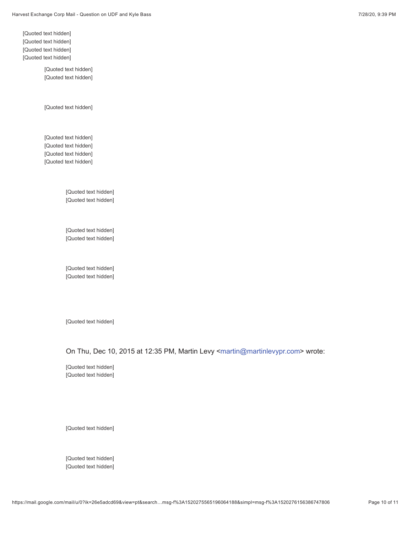[Quoted text hidden] [Quoted text hidden] [Quoted text hidden] [Quoted text hidden]

> [Quoted text hidden] [Quoted text hidden]

[Quoted text hidden]

[Quoted text hidden] [Quoted text hidden] [Quoted text hidden] [Quoted text hidden]

> [Quoted text hidden] [Quoted text hidden]

> [Quoted text hidden] [Quoted text hidden]

> [Quoted text hidden] [Quoted text hidden]

> [Quoted text hidden]

On Thu, Dec 10, 2015 at 12:35 PM, Martin Levy <martin@martinlevypr.com> wrote:

[Quoted text hidden] [Quoted text hidden]

[Quoted text hidden]

[Quoted text hidden] [Quoted text hidden]